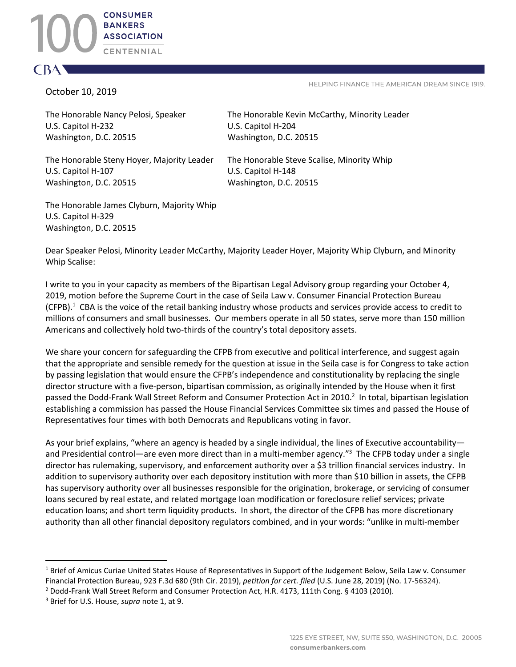## October 10, 2019

C BA

HELPING FINANCE THE AMERICAN DREAM SINCE 1919.

U.S. Capitol H-232 U.S. Capitol H-204 Washington, D.C. 20515 Washington, D.C. 20515

The Honorable Nancy Pelosi, Speaker The Honorable Kevin McCarthy, Minority Leader

The Honorable Steny Hoyer, Majority Leader The Honorable Steve Scalise, Minority Whip U.S. Capitol H-107 U.S. Capitol H-148 Washington, D.C. 20515 Washington, D.C. 20515

The Honorable James Clyburn, Majority Whip U.S. Capitol H-329 Washington, D.C. 20515

Dear Speaker Pelosi, Minority Leader McCarthy, Majority Leader Hoyer, Majority Whip Clyburn, and Minority Whip Scalise:

I write to you in your capacity as members of the Bipartisan Legal Advisory group regarding your October 4, 2019, motion before the Supreme Court in the case of Seila Law v. Consumer Financial Protection Bureau (CFPB). $1$  CBA is the voice of the retail banking industry whose products and services provide access to credit to millions of consumers and small businesses. Our members operate in all 50 states, serve more than 150 million Americans and collectively hold two-thirds of the country's total depository assets.

We share your concern for safeguarding the CFPB from executive and political interference, and suggest again that the appropriate and sensible remedy for the question at issue in the Seila case is for Congress to take action by passing legislation that would ensure the CFPB's independence and constitutionality by replacing the single director structure with a five-person, bipartisan commission, as originally intended by the House when it first passed the Dodd-Frank Wall Street Reform and Consumer Protection Act in 2010.<sup>2</sup> In total, bipartisan legislation establishing a commission has passed the House Financial Services Committee six times and passed the House of Representatives four times with both Democrats and Republicans voting in favor.

As your brief explains, "where an agency is headed by a single individual, the lines of Executive accountability and Presidential control—are even more direct than in a multi-member agency."<sup>3</sup> The CFPB today under a single director has rulemaking, supervisory, and enforcement authority over a \$3 trillion financial services industry. In addition to supervisory authority over each depository institution with more than \$10 billion in assets, the CFPB has supervisory authority over all businesses responsible for the origination, brokerage, or servicing of consumer loans secured by real estate, and related mortgage loan modification or foreclosure relief services; private education loans; and short term liquidity products. In short, the director of the CFPB has more discretionary authority than all other financial depository regulators combined, and in your words: "unlike in multi-member

 $1$  Brief of Amicus Curiae United States House of Representatives in Support of the Judgement Below, Seila Law v. Consumer Financial Protection Bureau, 923 F.3d 680 (9th Cir. 2019), *petition for cert. filed* (U.S. June 28, 2019) (No. 17-56324).

<sup>&</sup>lt;sup>2</sup> Dodd-Frank Wall Street Reform and Consumer Protection Act, H.R. 4173, 111th Cong. § 4103 (2010).

<sup>3</sup> Brief for U.S. House, *supra* note 1, at 9.